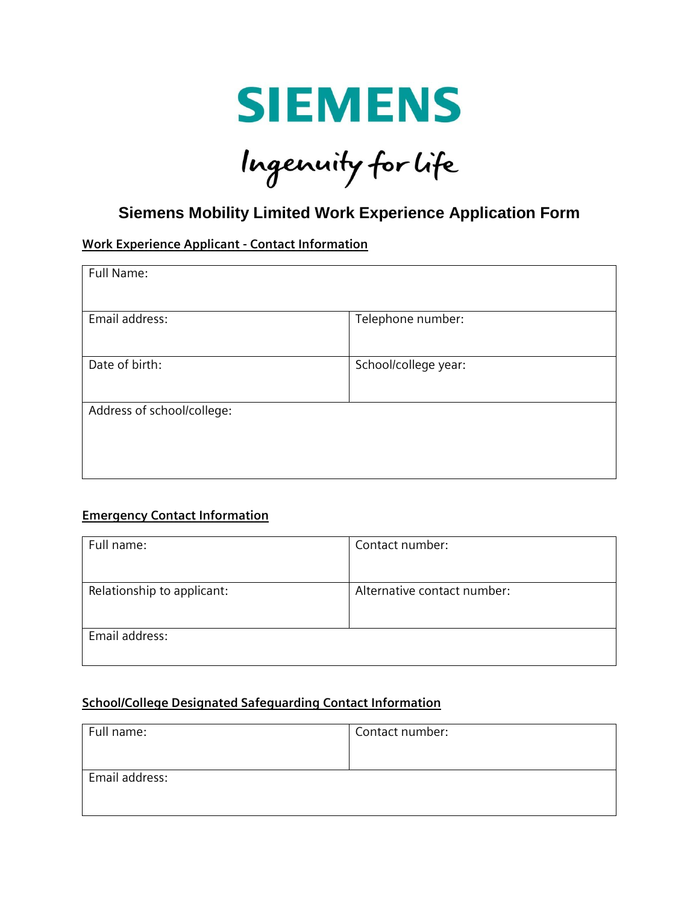

# Ingenuity for life

## **Siemens Mobility Limited Work Experience Application Form**

#### **Work Experience Applicant - Contact Information**

| Full Name:                 |                      |
|----------------------------|----------------------|
| Email address:             | Telephone number:    |
| Date of birth:             | School/college year: |
| Address of school/college: |                      |

#### **Emergency Contact Information**

| Full name:                 | Contact number:             |
|----------------------------|-----------------------------|
|                            |                             |
| Relationship to applicant: | Alternative contact number: |
|                            |                             |
| Email address:             |                             |
|                            |                             |

#### **School/College Designated Safeguarding Contact Information**

| Contact number: |
|-----------------|
|                 |
|                 |
|                 |
|                 |
|                 |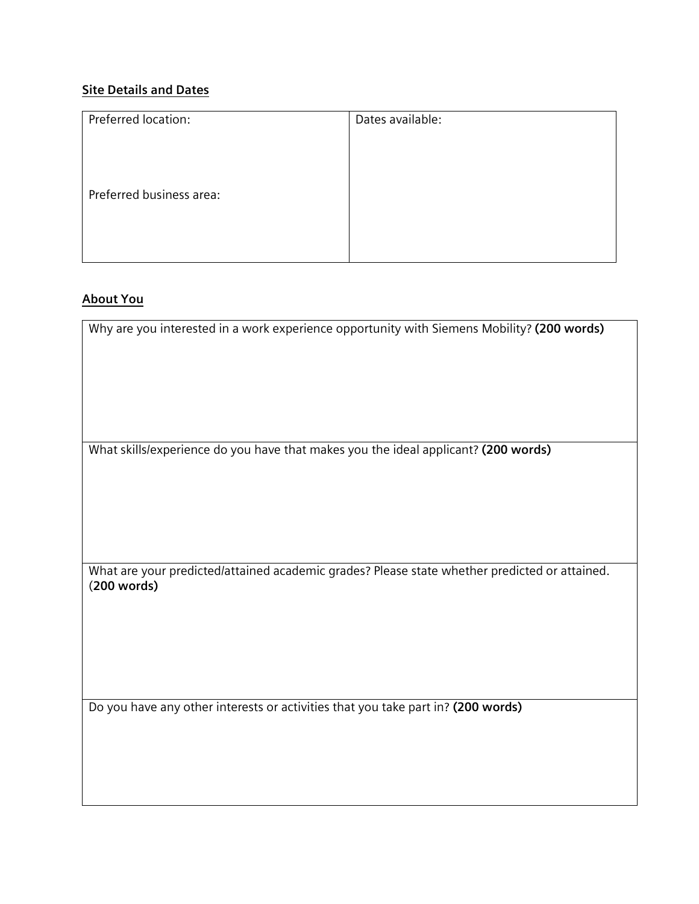### **Site Details and Dates**

| Preferred location:      | Dates available: |
|--------------------------|------------------|
| Preferred business area: |                  |
|                          |                  |

#### **About You**

Why are you interested in a work experience opportunity with Siemens Mobility? **(200 words)**

What skills/experience do you have that makes you the ideal applicant? **(200 words)**

What are your predicted/attained academic grades? Please state whether predicted or attained. (**200 words)**

Do you have any other interests or activities that you take part in? **(200 words)**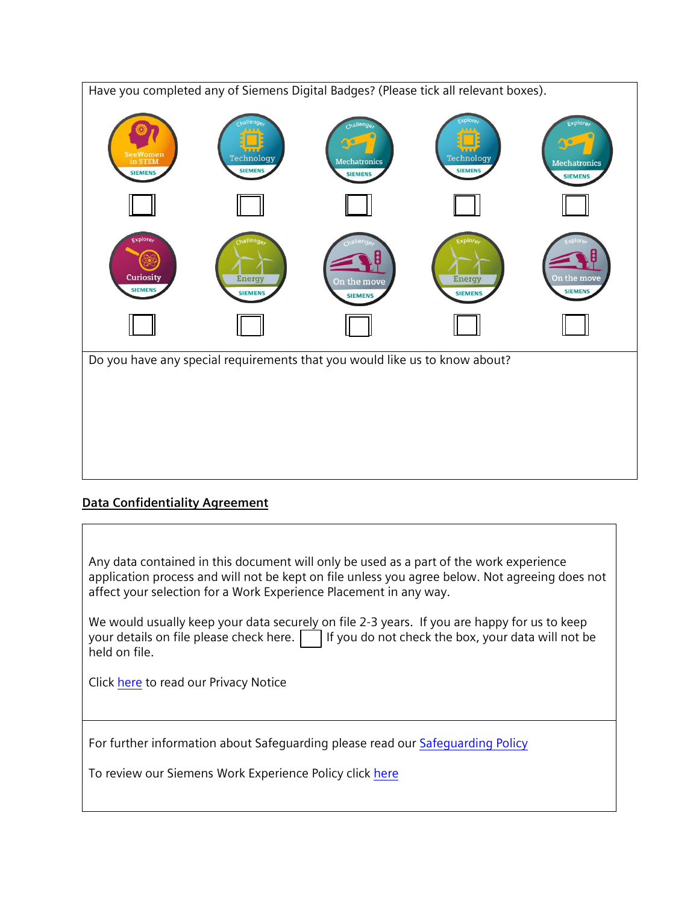

#### **Data Confidentiality Agreement**

Any data contained in this document will only be used as a part of the work experience application process and will not be kept on file unless you agree below. Not agreeing does not affect your selection for a Work Experience Placement in any way.

We would usually keep your data securely on file 2-3 years. If you are happy for us to keep your details on file please check here.  $\Box$  If you do not check the box, your data will not be held on file.

Click [here](https://new.siemens.com/uk/en/products/mobility/corporate-information/privacy-notice.html) to read our Privacy Notice

For further information about Safeguarding please read our [Safeguarding Policy](https://assets.new.siemens.com/siemens/assets/api/uuid:863cfe5c-e29c-4d22-a9bb-65036d72edfa/safeguarding-policy.pdf)

To review our Siemens Work Experience Policy click [here](https://assets.new.siemens.com/siemens/assets/api/uuid:79249273-cb8f-4753-b2b5-0660c7b7bcc1/work-experience-one-pager.pdf)